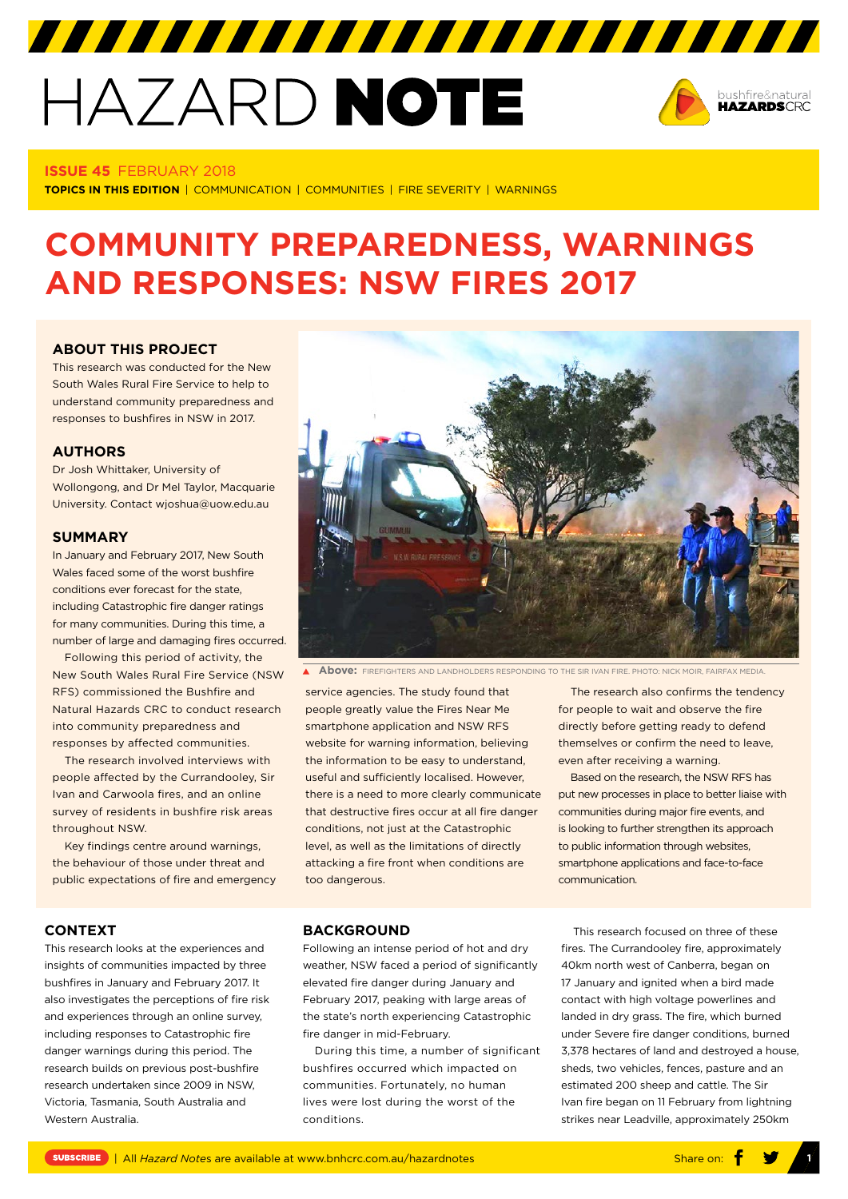# HAZARD NOTE



#### **ISSUE 45** FEBRUARY 2018

**TOPICS IN THIS EDITION** | COMMUNICATION | COMMUNITIES | FIRE SEVERITY | WARNINGS

# **COMMUNITY PREPAREDNESS, WARNINGS AND RESPONSES: NSW FIRES 2017**

### **[ABOUT THIS PROJECT](https://www.bnhcrc.com.au/research/resilience-hazards/3611)**

This research was conducted for the New South Wales Rural Fire Service to help to understand community preparedness and responses to bushfires in NSW in 2017.

#### **AUTHORS**

Dr Josh Whittaker, University of Wollongong, and Dr Mel Taylor, Macquarie University. Contact wjoshua@uow.edu.au

#### **SUMMARY**

In January and February 2017, New South Wales faced some of the worst bushfire conditions ever forecast for the state, including Catastrophic fire danger ratings for many communities. During this time, a number of large and damaging fires occurred.

Following this period of activity, the New South Wales Rural Fire Service (NSW RFS) commissioned the Bushfire and Natural Hazards CRC to conduct research into community preparedness and responses by affected communities.

The research involved interviews with people affected by the Currandooley, Sir Ivan and Carwoola fires, and an online survey of residents in bushfire risk areas throughout NSW.

Key findings centre around warnings, the behaviour of those under threat and public expectations of fire and emergency



**Above:** FIREFIGHTERS AND LANDHOLDERS RESPONDING TO THE SIR IVAN FIRE. PHOTO: NICK MOIR, FAIRFAX MEDIA.

service agencies. The study found that people greatly value the Fires Near Me smartphone application and NSW RFS website for warning information, believing the information to be easy to understand, useful and sufficiently localised. However, there is a need to more clearly communicate that destructive fires occur at all fire danger conditions, not just at the Catastrophic level, as well as the limitations of directly attacking a fire front when conditions are too dangerous.

The research also confirms the tendency for people to wait and observe the fire directly before getting ready to defend themselves or confirm the need to leave, even after receiving a warning.

Based on the research, the NSW RFS has put new processes in place to better liaise with communities during major fire events, and is looking to further strengthen its approach to public information through websites, smartphone applications and face-to-face communication.

#### **CONTEXT**

This research looks at the experiences and insights of communities impacted by three bushfires in January and February 2017. It also investigates the perceptions of fire risk and experiences through an online survey, including responses to Catastrophic fire danger warnings during this period. The research builds on previous post-bushfire research undertaken since 2009 in NSW, Victoria, Tasmania, South Australia and Western Australia.

## **BACKGROUND**

Following an intense period of hot and dry weather, NSW faced a period of significantly elevated fire danger during January and February 2017, peaking with large areas of the state's north experiencing Catastrophic fire danger in mid-February.

During this time, a number of significant bushfires occurred which impacted on communities. Fortunately, no human lives were lost during the worst of the conditions.

This research focused on three of these fires. The Currandooley fire, approximately 40km north west of Canberra, began on 17 January and ignited when a bird made contact with high voltage powerlines and landed in dry grass. The fire, which burned under Severe fire danger conditions, burned 3,378 hectares of land and destroyed a house, sheds, two vehicles, fences, pasture and an estimated 200 sheep and cattle. The Sir Ivan fire began on 11 February from lightning strikes near Leadville, approximately 250km

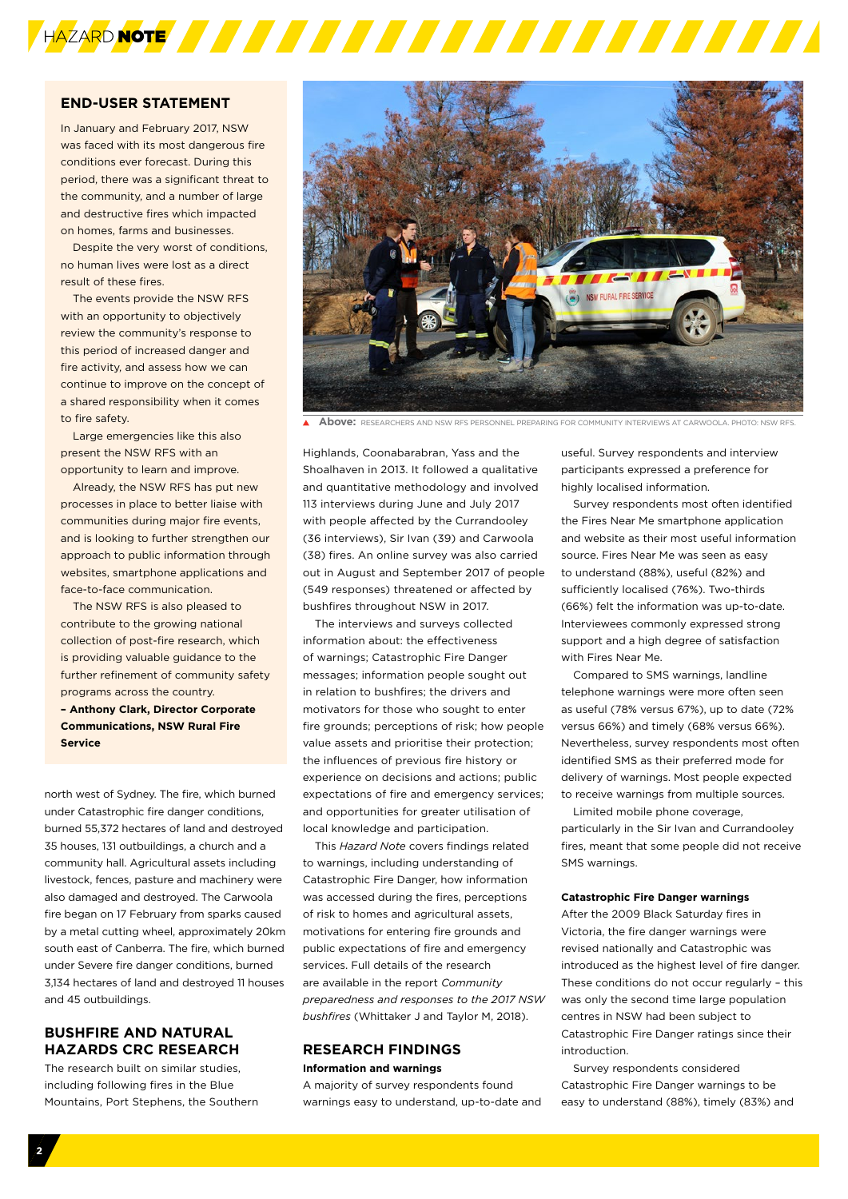

# **END-USER STATEMENT**

In January and February 2017, NSW was faced with its most dangerous fire conditions ever forecast. During this period, there was a significant threat to the community, and a number of large and destructive fires which impacted on homes, farms and businesses.

Despite the very worst of conditions, no human lives were lost as a direct result of these fires.

The events provide the NSW RFS with an opportunity to objectively review the community's response to this period of increased danger and fire activity, and assess how we can continue to improve on the concept of a shared responsibility when it comes to fire safety.

Large emergencies like this also present the NSW RFS with an opportunity to learn and improve.

Already, the NSW RFS has put new processes in place to better liaise with communities during major fire events, and is looking to further strengthen our approach to public information through websites, smartphone applications and face-to-face communication.

The NSW RFS is also pleased to contribute to the growing national collection of post-fire research, which is providing valuable guidance to the further refinement of community safety programs across the country.

**– Anthony Clark, Director Corporate Communications, NSW Rural Fire Service** 

north west of Sydney. The fire, which burned under Catastrophic fire danger conditions, burned 55,372 hectares of land and destroyed 35 houses, 131 outbuildings, a church and a community hall. Agricultural assets including livestock, fences, pasture and machinery were also damaged and destroyed. The Carwoola fire began on 17 February from sparks caused by a metal cutting wheel, approximately 20km south east of Canberra. The fire, which burned under Severe fire danger conditions, burned 3,134 hectares of land and destroyed 11 houses and 45 outbuildings.

# **BUSHFIRE AND NATURAL HAZARDS CRC RESEARCH**

The research built on similar studies, including following fires in the Blue Mountains, Port Stephens, the Southern



**Above:** RESEARCHERS AND NSW RFS PERSONNEL PREPARING FOR COMMUNITY INTERVIEWS AT CARWOOLA. PHOTO: NSW RFS.

Highlands, Coonabarabran, Yass and the Shoalhaven in 2013. It followed a qualitative and quantitative methodology and involved 113 interviews during June and July 2017 with people affected by the Currandooley (36 interviews), Sir Ivan (39) and Carwoola (38) fires. An online survey was also carried out in August and September 2017 of people (549 responses) threatened or affected by bushfires throughout NSW in 2017.

The interviews and surveys collected information about: the effectiveness of warnings; Catastrophic Fire Danger messages; information people sought out in relation to bushfires; the drivers and motivators for those who sought to enter fire grounds; perceptions of risk; how people value assets and prioritise their protection; the influences of previous fire history or experience on decisions and actions; public expectations of fire and emergency services; and opportunities for greater utilisation of local knowledge and participation.

This *Hazard Note* covers findings related to warnings, including understanding of Catastrophic Fire Danger, how information was accessed during the fires, perceptions of risk to homes and agricultural assets, motivations for entering fire grounds and public expectations of fire and emergency services. Full details of the research are available in the report *Community preparedness and responses to the 2017 NSW bushfires* (Whittaker J and Taylor M, 2018).

#### **RESEARCH FINDINGS Information and warnings**

A majority of survey respondents found warnings easy to understand, up-to-date and useful. Survey respondents and interview participants expressed a preference for highly localised information.

Survey respondents most often identified the Fires Near Me smartphone application and website as their most useful information source. Fires Near Me was seen as easy to understand (88%), useful (82%) and sufficiently localised (76%). Two-thirds (66%) felt the information was up-to-date. Interviewees commonly expressed strong support and a high degree of satisfaction with Fires Near Me.

Compared to SMS warnings, landline telephone warnings were more often seen as useful (78% versus 67%), up to date (72% versus 66%) and timely (68% versus 66%). Nevertheless, survey respondents most often identified SMS as their preferred mode for delivery of warnings. Most people expected to receive warnings from multiple sources.

Limited mobile phone coverage, particularly in the Sir Ivan and Currandooley fires, meant that some people did not receive SMS warnings.

#### **Catastrophic Fire Danger warnings**

After the 2009 Black Saturday fires in Victoria, the fire danger warnings were revised nationally and Catastrophic was introduced as the highest level of fire danger. These conditions do not occur regularly – this was only the second time large population centres in NSW had been subject to Catastrophic Fire Danger ratings since their introduction.

Survey respondents considered Catastrophic Fire Danger warnings to be easy to understand (88%), timely (83%) and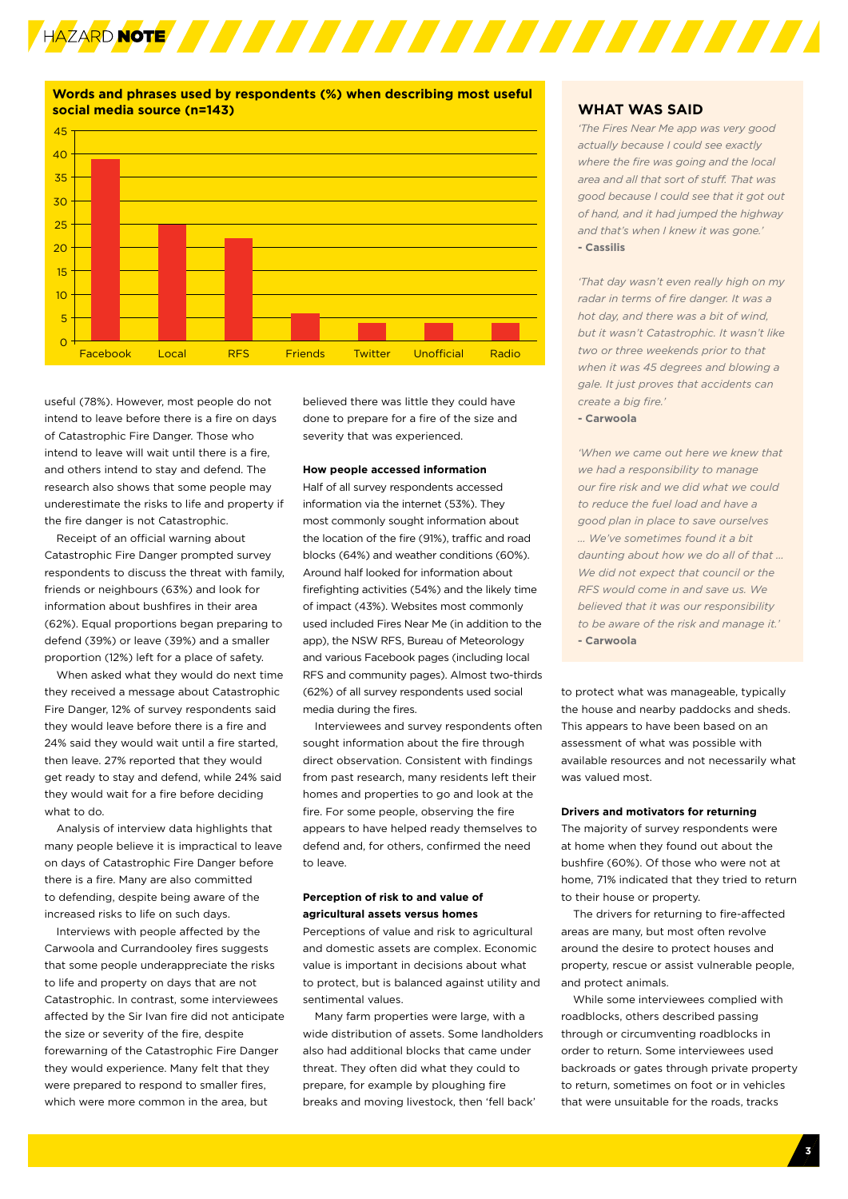

**Words and phrases used by respondents (%) when describing most useful social media source (n=143)** 45



useful (78%). However, most people do not intend to leave before there is a fire on days of Catastrophic Fire Danger. Those who intend to leave will wait until there is a fire, and others intend to stay and defend. The research also shows that some people may underestimate the risks to life and property if the fire danger is not Catastrophic.

Receipt of an official warning about Catastrophic Fire Danger prompted survey respondents to discuss the threat with family, friends or neighbours (63%) and look for information about bushfires in their area (62%). Equal proportions began preparing to defend (39%) or leave (39%) and a smaller proportion (12%) left for a place of safety.

When asked what they would do next time they received a message about Catastrophic Fire Danger, 12% of survey respondents said they would leave before there is a fire and 24% said they would wait until a fire started, then leave. 27% reported that they would get ready to stay and defend, while 24% said they would wait for a fire before deciding what to do.

Analysis of interview data highlights that many people believe it is impractical to leave on days of Catastrophic Fire Danger before there is a fire. Many are also committed to defending, despite being aware of the increased risks to life on such days.

Interviews with people affected by the Carwoola and Currandooley fires suggests that some people underappreciate the risks to life and property on days that are not Catastrophic. In contrast, some interviewees affected by the Sir Ivan fire did not anticipate the size or severity of the fire, despite forewarning of the Catastrophic Fire Danger they would experience. Many felt that they were prepared to respond to smaller fires, which were more common in the area, but

believed there was little they could have done to prepare for a fire of the size and severity that was experienced.

#### **How people accessed information**

Half of all survey respondents accessed information via the internet (53%). They most commonly sought information about the location of the fire (91%), traffic and road blocks (64%) and weather conditions (60%). Around half looked for information about firefighting activities (54%) and the likely time of impact (43%). Websites most commonly used included Fires Near Me (in addition to the app), the NSW RFS, Bureau of Meteorology and various Facebook pages (including local RFS and community pages). Almost two-thirds (62%) of all survey respondents used social media during the fires.

Interviewees and survey respondents often sought information about the fire through direct observation. Consistent with findings from past research, many residents left their homes and properties to go and look at the fire. For some people, observing the fire appears to have helped ready themselves to defend and, for others, confirmed the need to leave.

## **Perception of risk to and value of agricultural assets versus homes**

Perceptions of value and risk to agricultural and domestic assets are complex. Economic value is important in decisions about what to protect, but is balanced against utility and sentimental values.

Many farm properties were large, with a wide distribution of assets. Some landholders also had additional blocks that came under threat. They often did what they could to prepare, for example by ploughing fire breaks and moving livestock, then 'fell back'

#### **WHAT WAS SAID**

*'The Fires Near Me app was very good actually because I could see exactly where the fire was going and the local area and all that sort of stuff. That was good because I could see that it got out of hand, and it had jumped the highway and that's when I knew it was gone.'* **- Cassilis**

*'That day wasn't even really high on my radar in terms of fire danger. It was a hot day, and there was a bit of wind, but it wasn't Catastrophic. It wasn't like two or three weekends prior to that when it was 45 degrees and blowing a gale. It just proves that accidents can create a big fire.'*

**- Carwoola**

*'When we came out here we knew that we had a responsibility to manage our fire risk and we did what we could to reduce the fuel load and have a good plan in place to save ourselves … We've sometimes found it a bit daunting about how we do all of that … We did not expect that council or the RFS would come in and save us. We believed that it was our responsibility to be aware of the risk and manage it.'* **- Carwoola**

to protect what was manageable, typically the house and nearby paddocks and sheds. This appears to have been based on an assessment of what was possible with available resources and not necessarily what was valued most.

#### **Drivers and motivators for returning**

The majority of survey respondents were at home when they found out about the bushfire (60%). Of those who were not at home, 71% indicated that they tried to return to their house or property.

The drivers for returning to fire-affected areas are many, but most often revolve around the desire to protect houses and property, rescue or assist vulnerable people, and protect animals.

While some interviewees complied with roadblocks, others described passing through or circumventing roadblocks in order to return. Some interviewees used backroads or gates through private property to return, sometimes on foot or in vehicles that were unsuitable for the roads, tracks